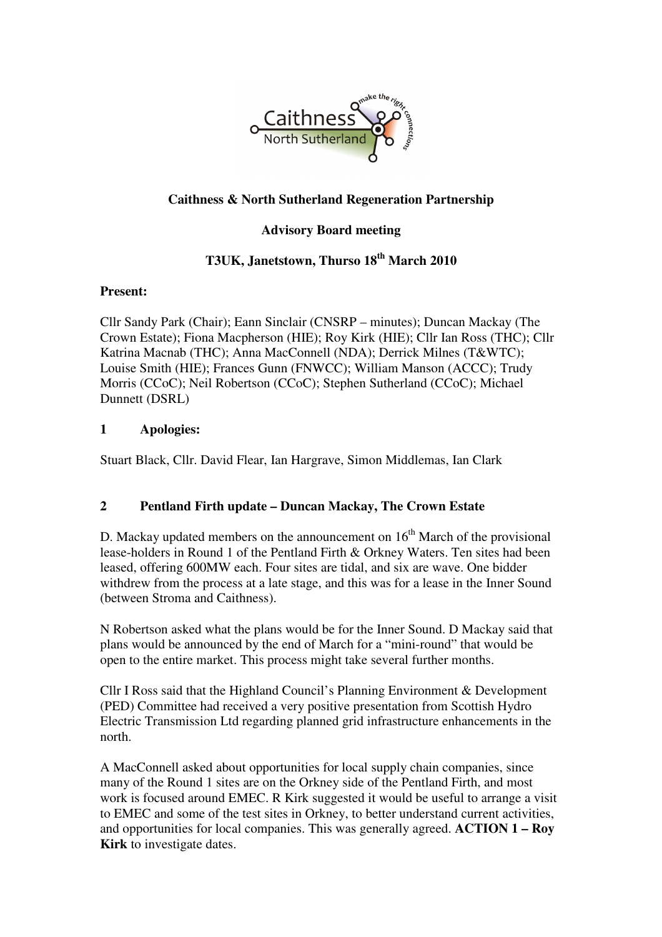

## **Caithness & North Sutherland Regeneration Partnership**

### **Advisory Board meeting**

# **T3UK, Janetstown, Thurso 18th March 2010**

#### **Present:**

Cllr Sandy Park (Chair); Eann Sinclair (CNSRP – minutes); Duncan Mackay (The Crown Estate); Fiona Macpherson (HIE); Roy Kirk (HIE); Cllr Ian Ross (THC); Cllr Katrina Macnab (THC); Anna MacConnell (NDA); Derrick Milnes (T&WTC); Louise Smith (HIE); Frances Gunn (FNWCC); William Manson (ACCC); Trudy Morris (CCoC); Neil Robertson (CCoC); Stephen Sutherland (CCoC); Michael Dunnett (DSRL)

#### **1 Apologies:**

Stuart Black, Cllr. David Flear, Ian Hargrave, Simon Middlemas, Ian Clark

#### **2 Pentland Firth update – Duncan Mackay, The Crown Estate**

D. Mackay updated members on the announcement on  $16<sup>th</sup>$  March of the provisional lease-holders in Round 1 of the Pentland Firth & Orkney Waters. Ten sites had been leased, offering 600MW each. Four sites are tidal, and six are wave. One bidder withdrew from the process at a late stage, and this was for a lease in the Inner Sound (between Stroma and Caithness).

N Robertson asked what the plans would be for the Inner Sound. D Mackay said that plans would be announced by the end of March for a "mini-round" that would be open to the entire market. This process might take several further months.

Cllr I Ross said that the Highland Council's Planning Environment & Development (PED) Committee had received a very positive presentation from Scottish Hydro Electric Transmission Ltd regarding planned grid infrastructure enhancements in the north.

A MacConnell asked about opportunities for local supply chain companies, since many of the Round 1 sites are on the Orkney side of the Pentland Firth, and most work is focused around EMEC. R Kirk suggested it would be useful to arrange a visit to EMEC and some of the test sites in Orkney, to better understand current activities, and opportunities for local companies. This was generally agreed. **ACTION 1 – Roy Kirk** to investigate dates.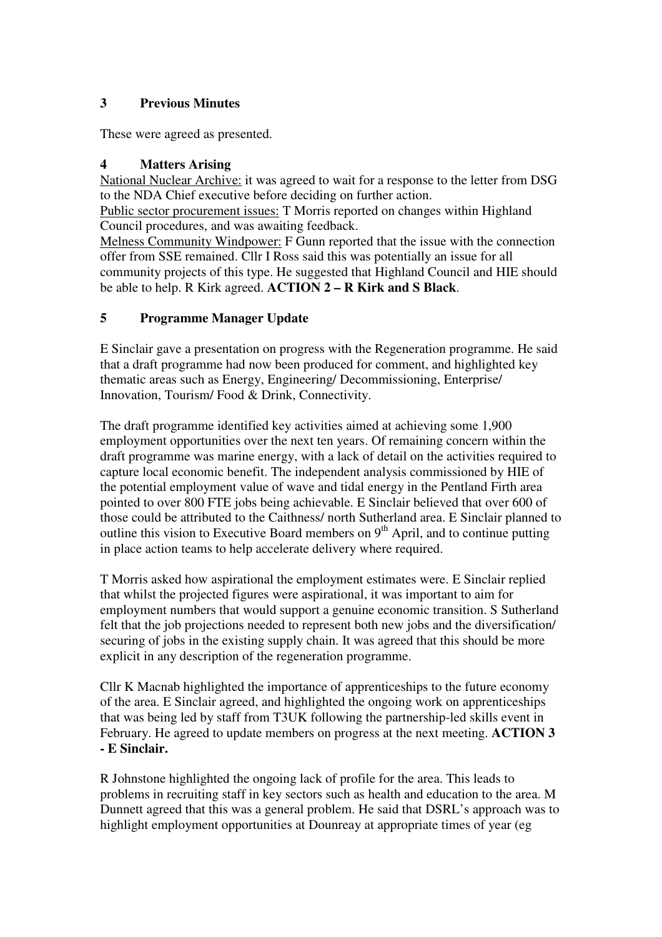### **3 Previous Minutes**

These were agreed as presented.

# **4 Matters Arising**

National Nuclear Archive: it was agreed to wait for a response to the letter from DSG to the NDA Chief executive before deciding on further action.

Public sector procurement issues: T Morris reported on changes within Highland Council procedures, and was awaiting feedback.

Melness Community Windpower: F Gunn reported that the issue with the connection offer from SSE remained. Cllr I Ross said this was potentially an issue for all community projects of this type. He suggested that Highland Council and HIE should be able to help. R Kirk agreed. **ACTION 2 – R Kirk and S Black**.

# **5 Programme Manager Update**

E Sinclair gave a presentation on progress with the Regeneration programme. He said that a draft programme had now been produced for comment, and highlighted key thematic areas such as Energy, Engineering/ Decommissioning, Enterprise/ Innovation, Tourism/ Food & Drink, Connectivity.

The draft programme identified key activities aimed at achieving some 1,900 employment opportunities over the next ten years. Of remaining concern within the draft programme was marine energy, with a lack of detail on the activities required to capture local economic benefit. The independent analysis commissioned by HIE of the potential employment value of wave and tidal energy in the Pentland Firth area pointed to over 800 FTE jobs being achievable. E Sinclair believed that over 600 of those could be attributed to the Caithness/ north Sutherland area. E Sinclair planned to outline this vision to Executive Board members on  $9<sup>th</sup>$  April, and to continue putting in place action teams to help accelerate delivery where required.

T Morris asked how aspirational the employment estimates were. E Sinclair replied that whilst the projected figures were aspirational, it was important to aim for employment numbers that would support a genuine economic transition. S Sutherland felt that the job projections needed to represent both new jobs and the diversification/ securing of jobs in the existing supply chain. It was agreed that this should be more explicit in any description of the regeneration programme.

Cllr K Macnab highlighted the importance of apprenticeships to the future economy of the area. E Sinclair agreed, and highlighted the ongoing work on apprenticeships that was being led by staff from T3UK following the partnership-led skills event in February. He agreed to update members on progress at the next meeting. **ACTION 3 - E Sinclair.**

R Johnstone highlighted the ongoing lack of profile for the area. This leads to problems in recruiting staff in key sectors such as health and education to the area. M Dunnett agreed that this was a general problem. He said that DSRL's approach was to highlight employment opportunities at Dounreay at appropriate times of year (eg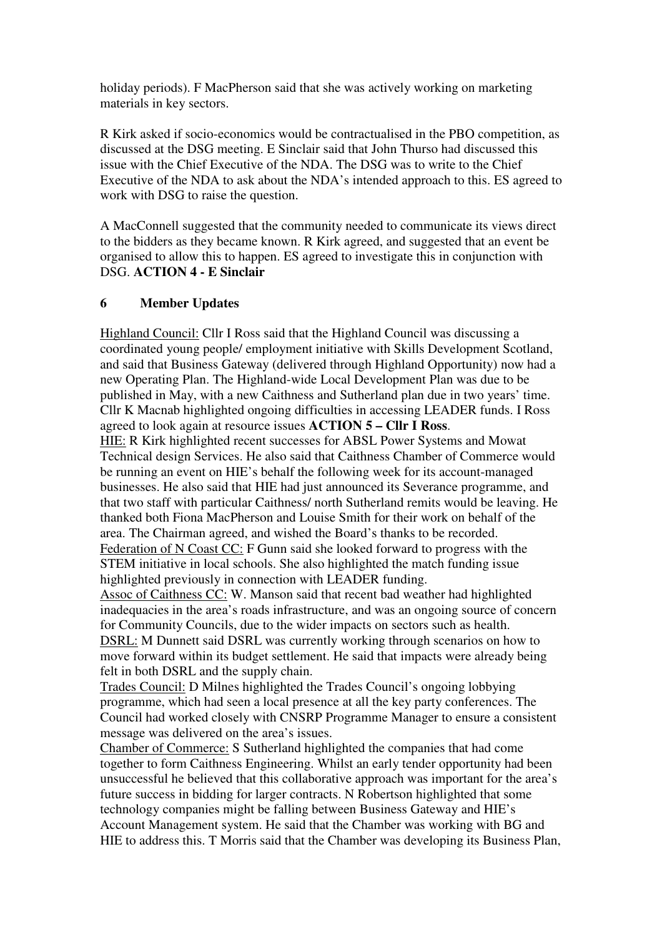holiday periods). F MacPherson said that she was actively working on marketing materials in key sectors.

R Kirk asked if socio-economics would be contractualised in the PBO competition, as discussed at the DSG meeting. E Sinclair said that John Thurso had discussed this issue with the Chief Executive of the NDA. The DSG was to write to the Chief Executive of the NDA to ask about the NDA's intended approach to this. ES agreed to work with DSG to raise the question.

A MacConnell suggested that the community needed to communicate its views direct to the bidders as they became known. R Kirk agreed, and suggested that an event be organised to allow this to happen. ES agreed to investigate this in conjunction with DSG. **ACTION 4 - E Sinclair**

#### **6 Member Updates**

Highland Council: Cllr I Ross said that the Highland Council was discussing a coordinated young people/ employment initiative with Skills Development Scotland, and said that Business Gateway (delivered through Highland Opportunity) now had a new Operating Plan. The Highland-wide Local Development Plan was due to be published in May, with a new Caithness and Sutherland plan due in two years' time. Cllr K Macnab highlighted ongoing difficulties in accessing LEADER funds. I Ross agreed to look again at resource issues **ACTION 5 – Cllr I Ross**.

HIE: R Kirk highlighted recent successes for ABSL Power Systems and Mowat Technical design Services. He also said that Caithness Chamber of Commerce would be running an event on HIE's behalf the following week for its account-managed businesses. He also said that HIE had just announced its Severance programme, and that two staff with particular Caithness/ north Sutherland remits would be leaving. He thanked both Fiona MacPherson and Louise Smith for their work on behalf of the area. The Chairman agreed, and wished the Board's thanks to be recorded. Federation of N Coast CC: F Gunn said she looked forward to progress with the STEM initiative in local schools. She also highlighted the match funding issue highlighted previously in connection with LEADER funding.

Assoc of Caithness CC: W. Manson said that recent bad weather had highlighted inadequacies in the area's roads infrastructure, and was an ongoing source of concern for Community Councils, due to the wider impacts on sectors such as health. DSRL: M Dunnett said DSRL was currently working through scenarios on how to move forward within its budget settlement. He said that impacts were already being felt in both DSRL and the supply chain.

Trades Council: D Milnes highlighted the Trades Council's ongoing lobbying programme, which had seen a local presence at all the key party conferences. The Council had worked closely with CNSRP Programme Manager to ensure a consistent message was delivered on the area's issues.

Chamber of Commerce: S Sutherland highlighted the companies that had come together to form Caithness Engineering. Whilst an early tender opportunity had been unsuccessful he believed that this collaborative approach was important for the area's future success in bidding for larger contracts. N Robertson highlighted that some technology companies might be falling between Business Gateway and HIE's Account Management system. He said that the Chamber was working with BG and HIE to address this. T Morris said that the Chamber was developing its Business Plan,